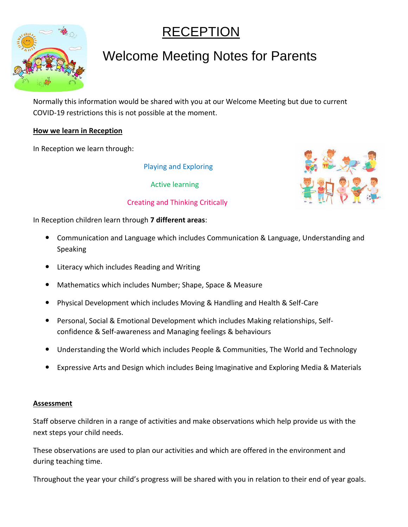# RECEPTION



## Welcome Meeting Notes for Parents

Normally this information would be shared with you at our Welcome Meeting but due to current COVID-19 restrictions this is not possible at the moment.

### **How we learn in Reception**

In Reception we learn through:

Playing and Exploring

Active learning



Creating and Thinking Critically

In Reception children learn through **7 different areas**:

- Communication and Language which includes Communication & Language, Understanding and Speaking
- Literacy which includes Reading and Writing
- Mathematics which includes Number; Shape, Space & Measure
- Physical Development which includes Moving & Handling and Health & Self-Care
- Personal, Social & Emotional Development which includes Making relationships, Selfconfidence & Self-awareness and Managing feelings & behaviours
- Understanding the World which includes People & Communities, The World and Technology
- Expressive Arts and Design which includes Being Imaginative and Exploring Media & Materials

#### **Assessment**

Staff observe children in a range of activities and make observations which help provide us with the next steps your child needs.

These observations are used to plan our activities and which are offered in the environment and during teaching time.

Throughout the year your child's progress will be shared with you in relation to their end of year goals.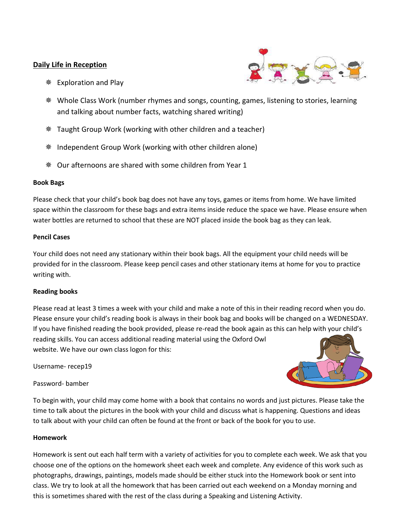#### **Daily Life in Reception**



- **<del>
</del>
■** Exploration and Play
- Whole Class Work (number rhymes and songs, counting, games, listening to stories, learning and talking about number facts, watching shared writing)
- Taught Group Work (working with other children and a teacher)
- Independent Group Work (working with other children alone)
- Our afternoons are shared with some children from Year 1

#### **Book Bags**

Please check that your child's book bag does not have any toys, games or items from home. We have limited space within the classroom for these bags and extra items inside reduce the space we have. Please ensure when water bottles are returned to school that these are NOT placed inside the book bag as they can leak.

#### **Pencil Cases**

Your child does not need any stationary within their book bags. All the equipment your child needs will be provided for in the classroom. Please keep pencil cases and other stationary items at home for you to practice writing with.

#### **Reading books**

Please read at least 3 times a week with your child and make a note of this in their reading record when you do. Please ensure your child's reading book is always in their book bag and books will be changed on a WEDNESDAY. If you have finished reading the book provided, please re-read the book again as this can help with your child's reading skills. You can access additional reading material using the Oxford Owl website. We have our own class logon for this:

Username- recep19

Password- bamber

To begin with, your child may come home with a book that contains no words and just pictures. Please take the time to talk about the pictures in the book with your child and discuss what is happening. Questions and ideas to talk about with your child can often be found at the front or back of the book for you to use.

#### **Homework**

Homework is sent out each half term with a variety of activities for you to complete each week. We ask that you choose one of the options on the homework sheet each week and complete. Any evidence of this work such as photographs, drawings, paintings, models made should be either stuck into the Homework book or sent into class. We try to look at all the homework that has been carried out each weekend on a Monday morning and this is sometimes shared with the rest of the class during a Speaking and Listening Activity.